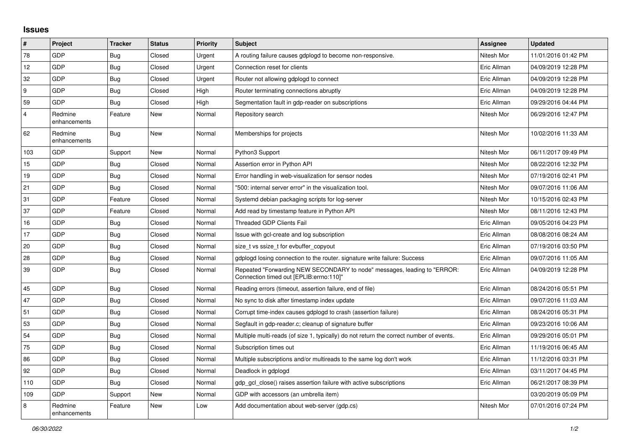## **Issues**

| #              | Project                 | <b>Tracker</b> | <b>Status</b> | Priority | <b>Subject</b>                                                                                                      | <b>Assignee</b> | <b>Updated</b>      |
|----------------|-------------------------|----------------|---------------|----------|---------------------------------------------------------------------------------------------------------------------|-----------------|---------------------|
| 78             | GDP                     | <b>Bug</b>     | Closed        | Urgent   | A routing failure causes gdplogd to become non-responsive.                                                          | Nitesh Mor      | 11/01/2016 01:42 PM |
| 12             | <b>GDP</b>              | <b>Bug</b>     | Closed        | Urgent   | Connection reset for clients                                                                                        | Eric Allman     | 04/09/2019 12:28 PM |
| 32             | <b>GDP</b>              | Bug            | Closed        | Urgent   | Router not allowing gdplogd to connect                                                                              | Eric Allman     | 04/09/2019 12:28 PM |
| 9              | <b>GDP</b>              | <b>Bug</b>     | Closed        | High     | Router terminating connections abruptly                                                                             | Eric Allman     | 04/09/2019 12:28 PM |
| 59             | <b>GDP</b>              | <b>Bug</b>     | Closed        | High     | Segmentation fault in gdp-reader on subscriptions                                                                   | Eric Allman     | 09/29/2016 04:44 PM |
| $\overline{4}$ | Redmine<br>enhancements | Feature        | New           | Normal   | Repository search                                                                                                   | Nitesh Mor      | 06/29/2016 12:47 PM |
| 62             | Redmine<br>enhancements | Bug            | <b>New</b>    | Normal   | Memberships for projects                                                                                            | Nitesh Mor      | 10/02/2016 11:33 AM |
| 103            | <b>GDP</b>              | Support        | <b>New</b>    | Normal   | Python3 Support                                                                                                     | Nitesh Mor      | 06/11/2017 09:49 PM |
| 15             | <b>GDP</b>              | Bug            | Closed        | Normal   | Assertion error in Python API                                                                                       | Nitesh Mor      | 08/22/2016 12:32 PM |
| 19             | <b>GDP</b>              | <b>Bug</b>     | Closed        | Normal   | Error handling in web-visualization for sensor nodes                                                                | Nitesh Mor      | 07/19/2016 02:41 PM |
| 21             | <b>GDP</b>              | <b>Bug</b>     | Closed        | Normal   | "500: internal server error" in the visualization tool.                                                             | Nitesh Mor      | 09/07/2016 11:06 AM |
| 31             | GDP                     | Feature        | Closed        | Normal   | Systemd debian packaging scripts for log-server                                                                     | Nitesh Mor      | 10/15/2016 02:43 PM |
| 37             | <b>GDP</b>              | Feature        | Closed        | Normal   | Add read by timestamp feature in Python API                                                                         | Nitesh Mor      | 08/11/2016 12:43 PM |
| 16             | <b>GDP</b>              | Bug            | Closed        | Normal   | <b>Threaded GDP Clients Fail</b>                                                                                    | Eric Allman     | 09/05/2016 04:23 PM |
| 17             | <b>GDP</b>              | <b>Bug</b>     | Closed        | Normal   | Issue with gcl-create and log subscription                                                                          | Eric Allman     | 08/08/2016 08:24 AM |
| 20             | <b>GDP</b>              | <b>Bug</b>     | Closed        | Normal   | size t vs ssize t for evbuffer copyout                                                                              | Eric Allman     | 07/19/2016 03:50 PM |
| 28             | <b>GDP</b>              | Bug            | Closed        | Normal   | gdplogd losing connection to the router, signature write failure: Success                                           | Eric Allman     | 09/07/2016 11:05 AM |
| 39             | <b>GDP</b>              | <b>Bug</b>     | Closed        | Normal   | Repeated "Forwarding NEW SECONDARY to node" messages, leading to "ERROR:<br>Connection timed out [EPLIB:errno:110]" | Eric Allman     | 04/09/2019 12:28 PM |
| 45             | GDP                     | <b>Bug</b>     | Closed        | Normal   | Reading errors (timeout, assertion failure, end of file)                                                            | Eric Allman     | 08/24/2016 05:51 PM |
| 47             | <b>GDP</b>              | <b>Bug</b>     | Closed        | Normal   | No sync to disk after timestamp index update                                                                        | Eric Allman     | 09/07/2016 11:03 AM |
| 51             | <b>GDP</b>              | <b>Bug</b>     | Closed        | Normal   | Corrupt time-index causes gdplogd to crash (assertion failure)                                                      | Eric Allman     | 08/24/2016 05:31 PM |
| 53             | <b>GDP</b>              | <b>Bug</b>     | Closed        | Normal   | Segfault in gdp-reader.c; cleanup of signature buffer                                                               | Eric Allman     | 09/23/2016 10:06 AM |
| 54             | <b>GDP</b>              | <b>Bug</b>     | Closed        | Normal   | Multiple multi-reads (of size 1, typically) do not return the correct number of events.                             | Eric Allman     | 09/29/2016 05:01 PM |
| 75             | <b>GDP</b>              | <b>Bug</b>     | Closed        | Normal   | Subscription times out                                                                                              | Eric Allman     | 11/19/2016 06:45 AM |
| 86             | GDP                     | <b>Bug</b>     | Closed        | Normal   | Multiple subscriptions and/or multireads to the same log don't work                                                 | Eric Allman     | 11/12/2016 03:31 PM |
| 92             | <b>GDP</b>              | <b>Bug</b>     | Closed        | Normal   | Deadlock in gdplogd                                                                                                 | Eric Allman     | 03/11/2017 04:45 PM |
| 110            | <b>GDP</b>              | <b>Bug</b>     | Closed        | Normal   | gdp gcl close() raises assertion failure with active subscriptions                                                  | Eric Allman     | 06/21/2017 08:39 PM |
| 109            | <b>GDP</b>              | Support        | <b>New</b>    | Normal   | GDP with accessors (an umbrella item)                                                                               |                 | 03/20/2019 05:09 PM |
| 8              | Redmine<br>enhancements | Feature        | <b>New</b>    | Low      | Add documentation about web-server (gdp.cs)                                                                         | Nitesh Mor      | 07/01/2016 07:24 PM |